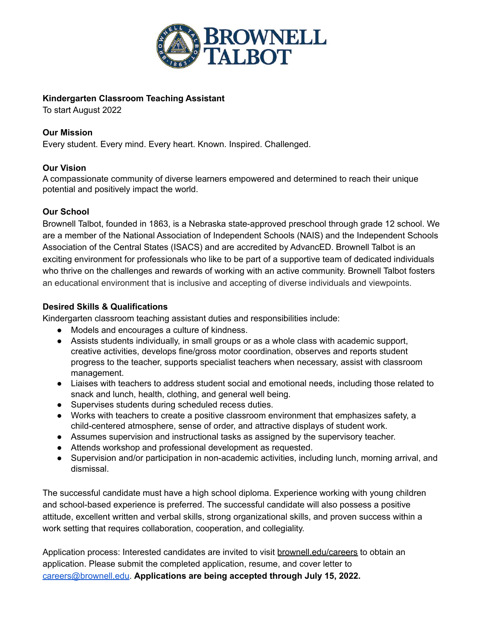

# **Kindergarten Classroom Teaching Assistant**

To start August 2022

## **Our Mission**

Every student. Every mind. Every heart. Known. Inspired. Challenged.

### **Our Vision**

A compassionate community of diverse learners empowered and determined to reach their unique potential and positively impact the world.

### **Our School**

Brownell Talbot, founded in 1863, is a Nebraska state-approved preschool through grade 12 school. We are a member of the National Association of Independent Schools (NAIS) and the Independent Schools Association of the Central States (ISACS) and are accredited by AdvancED. Brownell Talbot is an exciting environment for professionals who like to be part of a supportive team of dedicated individuals who thrive on the challenges and rewards of working with an active community. Brownell Talbot fosters an educational environment that is inclusive and accepting of diverse individuals and viewpoints.

### **Desired Skills & Qualifications**

Kindergarten classroom teaching assistant duties and responsibilities include:

- Models and encourages a culture of kindness.
- Assists students individually, in small groups or as a whole class with academic support, creative activities, develops fine/gross motor coordination, observes and reports student progress to the teacher, supports specialist teachers when necessary, assist with classroom management.
- Liaises with teachers to address student social and emotional needs, including those related to snack and lunch, health, clothing, and general well being.
- Supervises students during scheduled recess duties.
- Works with teachers to create a positive classroom environment that emphasizes safety, a child-centered atmosphere, sense of order, and attractive displays of student work.
- Assumes supervision and instructional tasks as assigned by the supervisory teacher.
- Attends workshop and professional development as requested.
- Supervision and/or participation in non-academic activities, including lunch, morning arrival, and dismissal.

The successful candidate must have a high school diploma. Experience working with young children and school-based experience is preferred. The successful candidate will also possess a positive attitude, excellent written and verbal skills, strong organizational skills, and proven success within a work setting that requires collaboration, cooperation, and collegiality.

Application process: Interested candidates are invited to visit [brownell.edu/careers](http://www.brownell.edu/careers) to obtain an application. Please submit the completed application, resume, and cover letter to [careers@brownell.edu](mailto:careers@brownell.edu). **Applications are being accepted through July 15, 2022.**